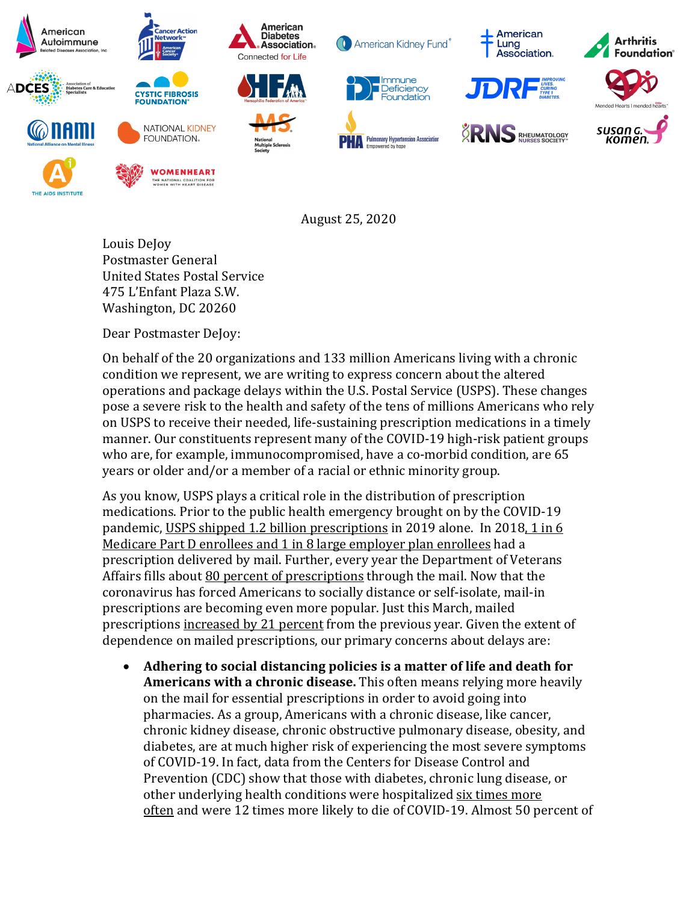

August 25, 2020

Louis DeJoy Postmaster General United States Postal Service 475 L'Enfant Plaza S.W. Washington, DC 20260

Dear Postmaster DeJoy:

On behalf of the 20 organizations and 133 million Americans living with a chronic condition we represent, we are writing to express concern about the altered operations and package delays within the U.S. Postal Service (USPS). These changes pose a severe risk to the health and safety of the tens of millions Americans who rely on USPS to receive their needed, life-sustaining prescription medications in a timely manner. Our constituents represent many of the COVID-19 high-risk patient groups who are, for example, immunocompromised, have a co-morbid condition, are 65 years or older and/or a member of a racial or ethnic minority group.

As you know, USPS plays a critical role in the distribution of prescription medications. Prior to the public health emergency brought on by the COVID-19 pandemic, [USPS shipped 1.2 billion prescriptions](https://www.nalc.org/news/nalc-updates/statement-by-nalc-president-fredric-rolando-the-postal-service-is-vital-in-this-crisis) in 2019 alone. In 2018, 1 in 6 [Medicare Part D enrollees and 1 in 8 large employer plan enrollees](https://www.kff.org/coronavirus-covid-19/issue-brief/mail-delays-could-affect-mail-order-prescriptions-for-millions-of-medicare-part-d-and-large-employer-plan-enrollees/?utm_campaign=KFF-2020-Medicare&utm_medium=email&_hsenc=p2ANqtz-8HXgS8LRIrF6sAQfl0ICC7kC9Jn2gzLDGsCR8ZC-sK0kVHSWgaZLXWQs_lEpE3lDNnyPgaEcWzXw72bn9EUAumAJgDVQ&_hsmi=93636088&utm_content=93636088&utm_source=hs_email&hsCtaTracking=ef7c18ed-d0d3-4a41-9533-f5dd98e88097%7C944a1cc6-4541-41eb-a815-e8f0ee50ec23) had a prescription delivered by mail. Further, every year the Department of Veterans Affairs fills about [80 percent of prescriptions](https://thehill.com/policy/healthcare/512833-va-problems-raises-worries-about-mail-slowdown-prescriptions) through the mail. Now that the coronavirus has forced Americans to socially distance or self-isolate, mail-in prescriptions are becoming even more popular. Just this March, mailed prescriptions [increased by 21](https://www.wsj.com/articles/mail-order-drug-delivery-rises-during-coronavirus-lockdowns-11589281203) percent from the previous year. Given the extent of dependence on mailed prescriptions, our primary concerns about delays are:

• **Adhering to social distancing policies is a matter of life and death for Americans with a chronic disease.** This often means relying more heavily on the mail for essential prescriptions in order to avoid going into pharmacies. As a group, Americans with a chronic disease, like cancer, chronic kidney disease, chronic obstructive pulmonary disease, obesity, and diabetes, are at much higher risk of experiencing the most severe symptoms of COVID-19. In fact, data from the Centers for Disease Control and Prevention (CDC) show that those with diabetes, chr[onic lung disease, or](https://www.cdc.gov/mmwr/volumes/69/wr/mm6924e2.htm?s_cid=mm6924e2_w#T1_down) other underlying health conditions were hospitalized six times more [often](https://www.cdc.gov/mmwr/volumes/69/wr/mm6924e2.htm?s_cid=mm6924e2_w#T1_down) and were 12 times more likely to die of COVID-19. Almost 50 percent of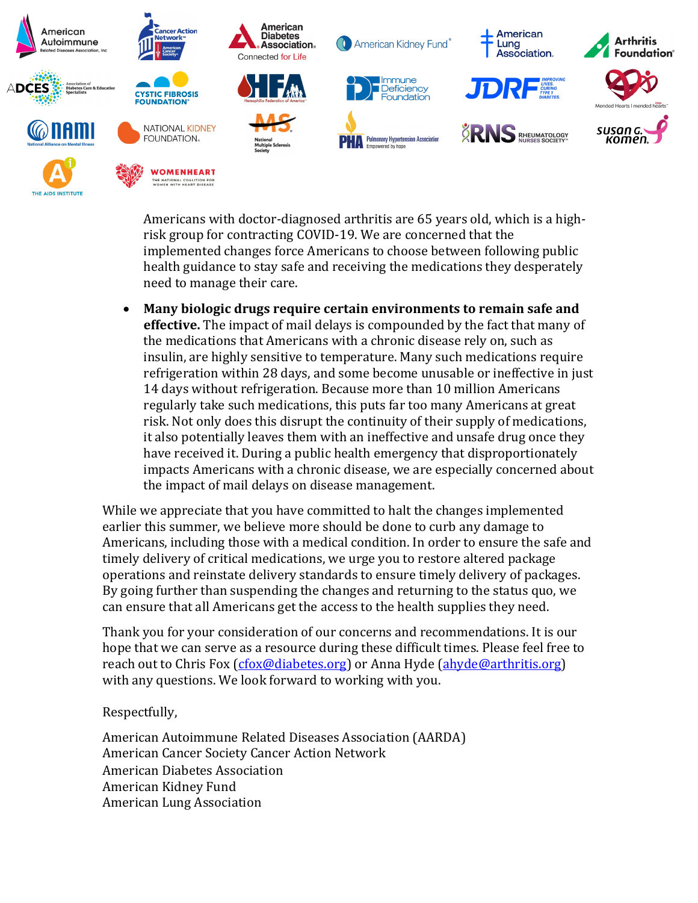

Americans with doctor-diagnosed arthritis are 65 years old, which is a highrisk group for contracting COVID-19. We are concerned that the implemented changes force Americans to choose between following public health guidance to stay safe and receiving the medications they desperately need to manage their care.

• **Many biologic drugs require certain environments to remain safe and effective.** The impact of mail delays is compounded by the fact that many of the medications that Americans with a chronic disease rely on, such as insulin, are highly sensitive to temperature. Many such medications require refrigeration within 28 days, and some become unusable or ineffective in just 14 days without refrigeration. Because more than 10 million Americans regularly take such medications, this puts far too many Americans at great risk. Not only does this disrupt the continuity of their supply of medications, it also potentially leaves them with an ineffective and unsafe drug once they have received it. During a public health emergency that disproportionately impacts Americans with a chronic disease, we are especially concerned about the impact of mail delays on disease management.

While we appreciate that you have committed to halt the changes implemented earlier this summer, we believe more should be done to curb any damage to Americans, including those with a medical condition. In order to ensure the safe and timely delivery of critical medications, we urge you to restore altered package operations and reinstate delivery standards to ensure timely delivery of packages. By going further than suspending the changes and returning to the status quo, we can ensure that all Americans get the access to the health supplies they need.

Thank you for your consideration of our concerns and recommendations. It is our hope that we can serve as a resource during these difficult times. Please feel free to reach out to Chris Fox [\(cfox@diabetes.org\)](mailto:cfox@diabetes.org) or Anna Hyde [\(ahyde@arthritis.org\)](mailto:ahyde@arthritis.org) with any questions. We look forward to working with you.

## Respectfully,

American Autoimmune Related Diseases Association (AARDA) American Cancer Society Cancer Action Network American Diabetes Association American Kidney Fund American Lung Association